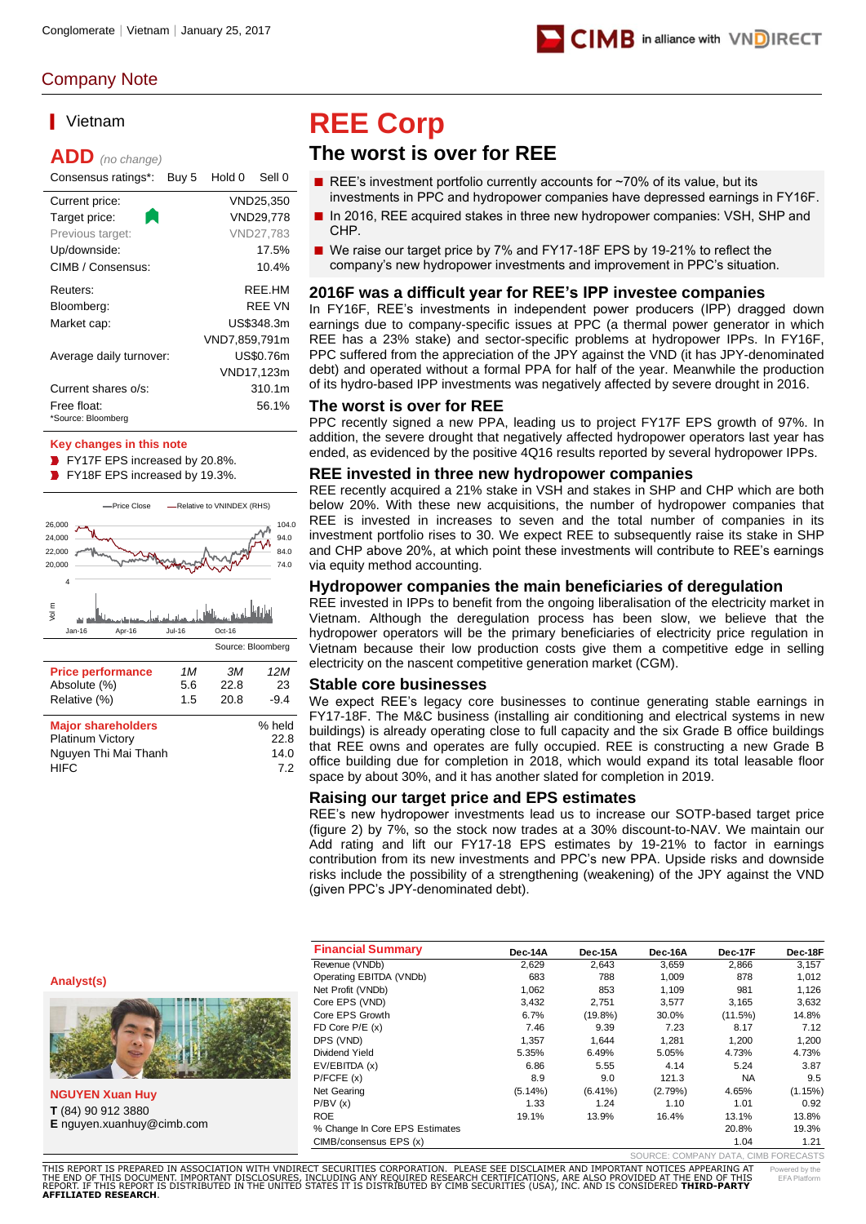## Company Note

## ▎Vietnam

## **ADD** *(no change)*

| Consensus ratings*:     | Buy 5 | Hold 0        | Sell 0     |
|-------------------------|-------|---------------|------------|
| Current price:          |       |               | VND25,350  |
| Target price:           |       |               | VND29,778  |
| Previous target:        |       |               | VND27,783  |
| Up/downside:            |       |               | 17.5%      |
| CIMB / Consensus:       |       |               | 10.4%      |
| Reuters:                |       |               | REE.HM     |
| Bloomberg:              |       |               | RFF VN     |
| Market cap:             |       |               | US\$348.3m |
|                         |       | VND7,859,791m |            |
| Average daily turnover: |       |               | US\$0.76m  |
|                         |       |               | VND17,123m |
| Current shares o/s:     |       |               | 310.1m     |
| Free float:             |       |               | 56.1%      |
| *Source: Bloomberg      |       |               |            |

### **Key changes in this note**

FY17F EPS increased by 20.8%.

**FY18F EPS increased by 19.3%.** 



| <b>Platinum Victory</b> | 22.8 |
|-------------------------|------|
| Nguyen Thi Mai Thanh    | 14.0 |
| <b>HIFC</b>             | 7.2  |

# **REE Corp**

# **The worst is over for REE**

- REE's investment portfolio currently accounts for ~70% of its value, but its investments in PPC and hydropower companies have depressed earnings in FY16F.
- In 2016, REE acquired stakes in three new hydropower companies: VSH, SHP and CHP.
- We raise our target price by 7% and FY17-18F EPS by 19-21% to reflect the company's new hydropower investments and improvement in PPC's situation.

### **2016F was a difficult year for REE's IPP investee companies**

In FY16F, REE's investments in independent power producers (IPP) dragged down earnings due to company-specific issues at PPC (a thermal power generator in which REE has a 23% stake) and sector-specific problems at hydropower IPPs. In FY16F, PPC suffered from the appreciation of the JPY against the VND (it has JPY-denominated debt) and operated without a formal PPA for half of the year. Meanwhile the production of its hydro-based IPP investments was negatively affected by severe drought in 2016.

### **The worst is over for REE**

PPC recently signed a new PPA, leading us to project FY17F EPS growth of 97%. In addition, the severe drought that negatively affected hydropower operators last year has ended, as evidenced by the positive 4Q16 results reported by several hydropower IPPs.

## **REE invested in three new hydropower companies**

REE recently acquired a 21% stake in VSH and stakes in SHP and CHP which are both below 20%. With these new acquisitions, the number of hydropower companies that REE is invested in increases to seven and the total number of companies in its investment portfolio rises to 30. We expect REE to subsequently raise its stake in SHP and CHP above 20%, at which point these investments will contribute to REE's earnings via equity method accounting.

## **Hydropower companies the main beneficiaries of deregulation**

REE invested in IPPs to benefit from the ongoing liberalisation of the electricity market in Vietnam. Although the deregulation process has been slow, we believe that the hydropower operators will be the primary beneficiaries of electricity price regulation in Vietnam because their low production costs give them a competitive edge in selling electricity on the nascent competitive generation market (CGM).

### **Stable core businesses**

We expect REE's legacy core businesses to continue generating stable earnings in FY17-18F. The M&C business (installing air conditioning and electrical systems in new buildings) is already operating close to full capacity and the six Grade B office buildings that REE owns and operates are fully occupied. REE is constructing a new Grade B office building due for completion in 2018, which would expand its total leasable floor space by about 30%, and it has another slated for completion in 2019.

## **Raising our target price and EPS estimates**

REE's new hydropower investments lead us to increase our SOTP-based target price (figure 2) by 7%, so the stock now trades at a 30% discount-to-NAV. We maintain our Add rating and lift our FY17-18 EPS estimates by 19-21% to factor in earnings contribution from its new investments and PPC's new PPA. Upside risks and downside risks include the possibility of a strengthening (weakening) of the JPY against the VND (given PPC's JPY-denominated debt).

| <b>Financial Summary</b>       | Dec-14A    | Dec-15A    | Dec-16A | Dec-17F | Dec-18F |
|--------------------------------|------------|------------|---------|---------|---------|
| Revenue (VNDb)                 | 2,629      | 2,643      | 3,659   | 2,866   | 3,157   |
| Operating EBITDA (VNDb)        | 683        | 788        | 1,009   | 878     | 1,012   |
| Net Profit (VNDb)              | 1,062      | 853        | 1,109   | 981     | 1,126   |
| Core EPS (VND)                 | 3.432      | 2.751      | 3.577   | 3.165   | 3,632   |
| Core EPS Growth                | 6.7%       | $(19.8\%)$ | 30.0%   | (11.5%) | 14.8%   |
| $FD$ Core $P/E$ $(x)$          | 7.46       | 9.39       | 7.23    | 8.17    | 7.12    |
| DPS (VND)                      | 1.357      | 1.644      | 1.281   | 1.200   | 1.200   |
| Dividend Yield                 | 5.35%      | 6.49%      | 5.05%   | 4.73%   | 4.73%   |
| EV/EBITDA (x)                  | 6.86       | 5.55       | 4.14    | 5.24    | 3.87    |
| P/FCFE(x)                      | 8.9        | 9.0        | 121.3   | NA.     | 9.5     |
| Net Gearing                    | $(5.14\%)$ | $(6.41\%)$ | (2.79%) | 4.65%   | (1.15%) |
| P/BV(x)                        | 1.33       | 1.24       | 1.10    | 1.01    | 0.92    |
| <b>ROE</b>                     | 19.1%      | 13.9%      | 16.4%   | 13.1%   | 13.8%   |
| % Change In Core EPS Estimates |            |            |         | 20.8%   | 19.3%   |
| CIMB/consensus EPS (x)         |            |            |         | 1.04    | 1.21    |

**Analyst(s)**



**NGUYEN Xuan Huy T** (84) 90 912 3880 **E** nguyen.xuanhuy@cimb.com

> Powered by the SOURCE: COMPANY DATA, CIMB FORECASTS

> > EFA Platform

THIS REPORT IS PREPARED IN ASSOCIATION WITH VNDIRECT SECURITIES CORPORATION. PLEASE SEE DISCLAIMER AND IMPORTANT NOTICES APPEARING AT<br>THE END OF THIS DOCUMENT. IMPORTANT DISCLOSURES, INCLUDING ANY REQUIRED RESEARCH CERTIF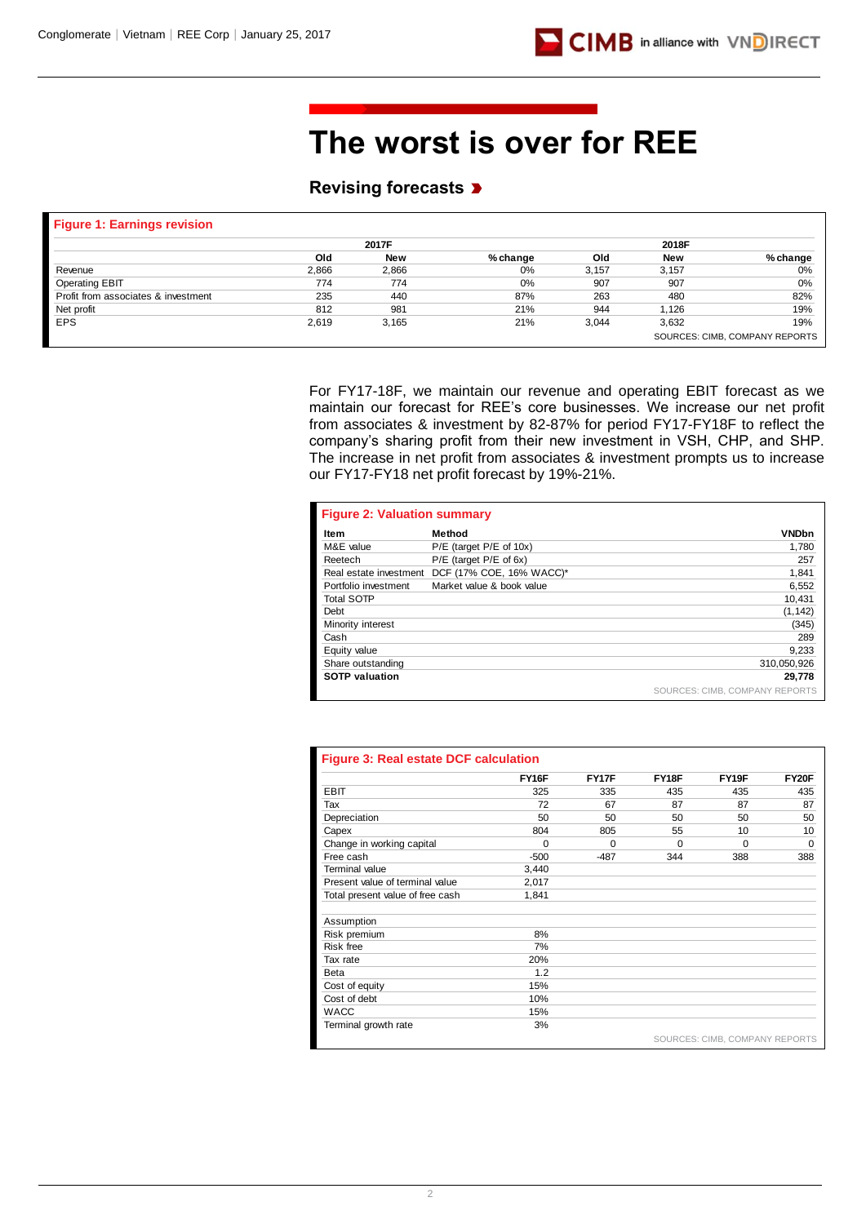

# **The worst is over for REE**

## **Revising forecasts**

#### **Figure 1: Earnings revision**

|                                     |       | 2017F      |          |       | 2018F      |                                |
|-------------------------------------|-------|------------|----------|-------|------------|--------------------------------|
|                                     | Old   | <b>New</b> | % change | Old   | <b>New</b> | % change                       |
| Revenue                             | 2,866 | 2,866      | 0%       | 3.157 | 3,157      | 0%                             |
| <b>Operating EBIT</b>               | 774   | 774        | 0%       | 907   | 907        | 0%                             |
| Profit from associates & investment | 235   | 440        | 87%      | 263   | 480        | 82%                            |
| Net profit                          | 812   | 981        | 21%      | 944   | 1.126      | 19%                            |
| <b>EPS</b>                          | 2,619 | 3,165      | 21%      | 3.044 | 3.632      | 19%                            |
|                                     |       |            |          |       |            | SOURCES: CIMB, COMPANY REPORTS |

For FY17-18F, we maintain our revenue and operating EBIT forecast as we maintain our forecast for REE's core businesses. We increase our net profit from associates & investment by 82-87% for period FY17-FY18F to reflect the company's sharing profit from their new investment in VSH, CHP, and SHP. The increase in net profit from associates & investment prompts us to increase our FY17-FY18 net profit forecast by 19%-21%.

| <b>Figure 2: Valuation summary</b> |                             |                                |  |
|------------------------------------|-----------------------------|--------------------------------|--|
| Item                               | Method                      | <b>VNDbn</b>                   |  |
| M&E value                          | $P/E$ (target $P/E$ of 10x) | 1,780                          |  |
| Reetech                            | $P/E$ (target $P/E$ of 6x)  | 257                            |  |
| Real estate investment             | DCF (17% COE, 16% WACC)*    | 1,841                          |  |
| Portfolio investment               | Market value & book value   | 6,552                          |  |
| <b>Total SOTP</b>                  |                             | 10,431                         |  |
| Debt                               |                             | (1, 142)                       |  |
| Minority interest                  |                             | (345)                          |  |
| Cash                               |                             | 289                            |  |
| Equity value                       |                             | 9,233                          |  |
| Share outstanding                  |                             | 310,050,926                    |  |
| <b>SOTP</b> valuation              |                             | 29,778                         |  |
|                                    |                             | SOURCES: CIMB. COMPANY REPORTS |  |

| <b>Figure 3: Real estate DCF calculation</b> |          |              |          |                                |          |
|----------------------------------------------|----------|--------------|----------|--------------------------------|----------|
|                                              | FY16F    | <b>FY17F</b> | FY18F    | FY19F                          | FY20F    |
| <b>EBIT</b>                                  | 325      | 335          | 435      | 435                            | 435      |
| Tax                                          | 72       | 67           | 87       | 87                             | 87       |
| Depreciation                                 | 50       | 50           | 50       | 50                             | 50       |
| Capex                                        | 804      | 805          | 55       | 10                             | 10       |
| Change in working capital                    | $\Omega$ | $\Omega$     | $\Omega$ | $\Omega$                       | $\Omega$ |
| Free cash                                    | $-500$   | $-487$       | 344      | 388                            | 388      |
| <b>Terminal value</b>                        | 3,440    |              |          |                                |          |
| Present value of terminal value              | 2,017    |              |          |                                |          |
| Total present value of free cash             | 1,841    |              |          |                                |          |
|                                              |          |              |          |                                |          |
| Assumption                                   |          |              |          |                                |          |
| Risk premium                                 | 8%       |              |          |                                |          |
| <b>Risk free</b>                             | 7%       |              |          |                                |          |
| Tax rate                                     | 20%      |              |          |                                |          |
| <b>Beta</b>                                  | 1.2      |              |          |                                |          |
| Cost of equity                               | 15%      |              |          |                                |          |
| Cost of debt                                 | 10%      |              |          |                                |          |
| <b>WACC</b>                                  | 15%      |              |          |                                |          |
| Terminal growth rate                         | 3%       |              |          |                                |          |
|                                              |          |              |          | SOURCES: CIMB, COMPANY REPORTS |          |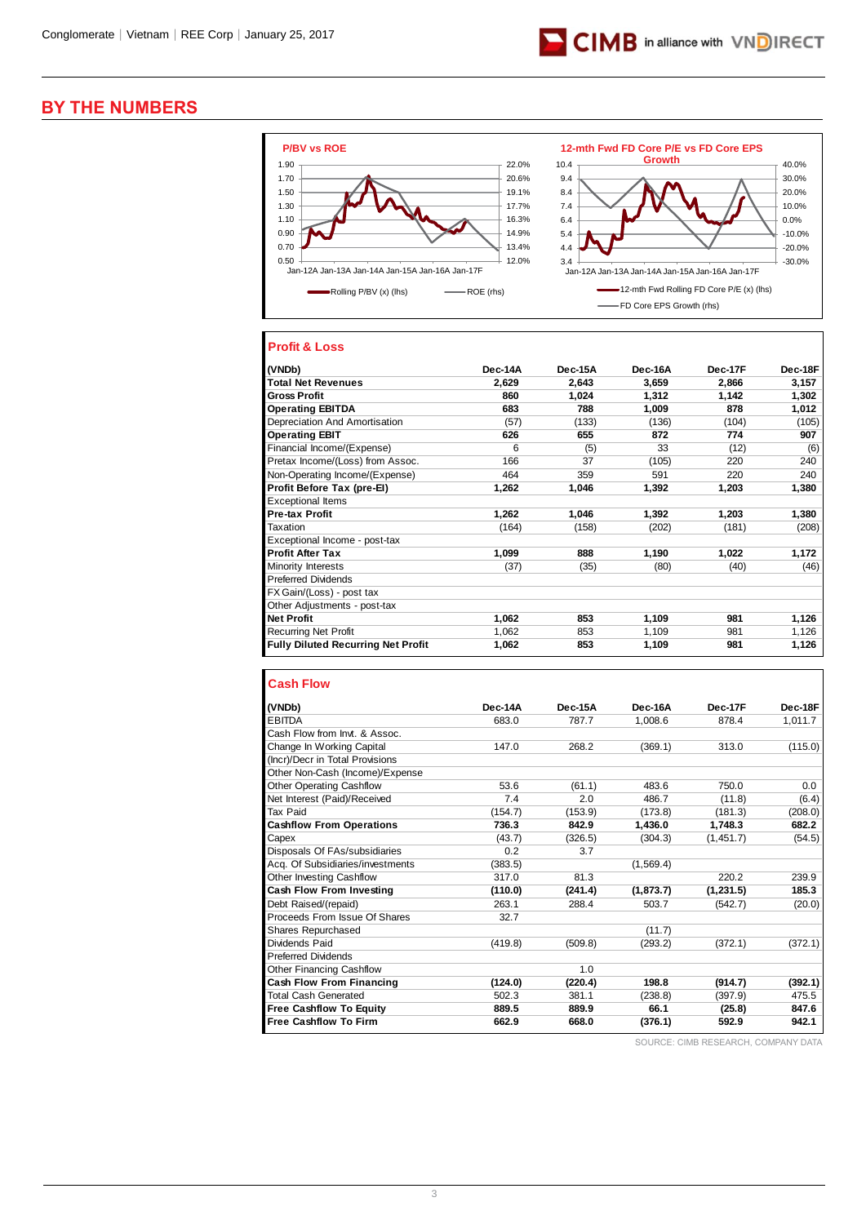

## **BY THE NUMBERS**



## **Profit & Loss**

| (VNDb)                                    | Dec-14A | Dec-15A | Dec-16A | Dec-17F | Dec-18F |
|-------------------------------------------|---------|---------|---------|---------|---------|
| <b>Total Net Revenues</b>                 | 2,629   | 2,643   | 3,659   | 2,866   | 3,157   |
| <b>Gross Profit</b>                       | 860     | 1,024   | 1,312   | 1,142   | 1,302   |
| <b>Operating EBITDA</b>                   | 683     | 788     | 1,009   | 878     | 1,012   |
| Depreciation And Amortisation             | (57)    | (133)   | (136)   | (104)   | (105)   |
| <b>Operating EBIT</b>                     | 626     | 655     | 872     | 774     | 907     |
| Financial Income/(Expense)                | 6       | (5)     | 33      | (12)    | (6)     |
| Pretax Income/(Loss) from Assoc.          | 166     | 37      | (105)   | 220     | 240     |
| Non-Operating Income/(Expense)            | 464     | 359     | 591     | 220     | 240     |
| Profit Before Tax (pre-EI)                | 1,262   | 1,046   | 1,392   | 1,203   | 1,380   |
| <b>Exceptional Items</b>                  |         |         |         |         |         |
| <b>Pre-tax Profit</b>                     | 1,262   | 1,046   | 1,392   | 1,203   | 1,380   |
| Taxation                                  | (164)   | (158)   | (202)   | (181)   | (208)   |
| Exceptional Income - post-tax             |         |         |         |         |         |
| <b>Profit After Tax</b>                   | 1,099   | 888     | 1,190   | 1,022   | 1,172   |
| Minority Interests                        | (37)    | (35)    | (80)    | (40)    | (46)    |
| <b>Preferred Dividends</b>                |         |         |         |         |         |
| FX Gain/(Loss) - post tax                 |         |         |         |         |         |
| Other Adjustments - post-tax              |         |         |         |         |         |
| <b>Net Profit</b>                         | 1,062   | 853     | 1,109   | 981     | 1,126   |
| <b>Recurring Net Profit</b>               | 1,062   | 853     | 1,109   | 981     | 1,126   |
| <b>Fully Diluted Recurring Net Profit</b> | 1,062   | 853     | 1,109   | 981     | 1,126   |

### **Cash Flow**

| (VNDb)                           | Dec-14A | Dec-15A | Dec-16A    | Dec-17F    | Dec-18F |
|----------------------------------|---------|---------|------------|------------|---------|
| <b>EBITDA</b>                    | 683.0   | 787.7   | 1.008.6    | 878.4      | 1,011.7 |
| Cash Flow from Invt. & Assoc.    |         |         |            |            |         |
| Change In Working Capital        | 147.0   | 268.2   | (369.1)    | 313.0      | (115.0) |
| (Incr)/Decr in Total Provisions  |         |         |            |            |         |
| Other Non-Cash (Income)/Expense  |         |         |            |            |         |
| <b>Other Operating Cashflow</b>  | 53.6    | (61.1)  | 483.6      | 750.0      | 0.0     |
| Net Interest (Paid)/Received     | 7.4     | 2.0     | 486.7      | (11.8)     | (6.4)   |
| <b>Tax Paid</b>                  | (154.7) | (153.9) | (173.8)    | (181.3)    | (208.0) |
| <b>Cashflow From Operations</b>  | 736.3   | 842.9   | 1,436.0    | 1,748.3    | 682.2   |
| Capex                            | (43.7)  | (326.5) | (304.3)    | (1,451.7)  | (54.5)  |
| Disposals Of FAs/subsidiaries    | 0.2     | 3.7     |            |            |         |
| Acq. Of Subsidiaries/investments | (383.5) |         | (1, 569.4) |            |         |
| <b>Other Investing Cashflow</b>  | 317.0   | 81.3    |            | 220.2      | 239.9   |
| Cash Flow From Investing         | (110.0) | (241.4) | (1,873.7)  | (1, 231.5) | 185.3   |
| Debt Raised/(repaid)             | 263.1   | 288.4   | 503.7      | (542.7)    | (20.0)  |
| Proceeds From Issue Of Shares    | 32.7    |         |            |            |         |
| <b>Shares Repurchased</b>        |         |         | (11.7)     |            |         |
| Dividends Paid                   | (419.8) | (509.8) | (293.2)    | (372.1)    | (372.1) |
| <b>Preferred Dividends</b>       |         |         |            |            |         |
| <b>Other Financing Cashflow</b>  |         | 1.0     |            |            |         |
| Cash Flow From Financing         | (124.0) | (220.4) | 198.8      | (914.7)    | (392.1) |
| <b>Total Cash Generated</b>      | 502.3   | 381.1   | (238.8)    | (397.9)    | 475.5   |
| <b>Free Cashflow To Equity</b>   | 889.5   | 889.9   | 66.1       | (25.8)     | 847.6   |
| <b>Free Cashflow To Firm</b>     | 662.9   | 668.0   | (376.1)    | 592.9      | 942.1   |

SOURCE: CIMB RESEARCH, COMPANY DATA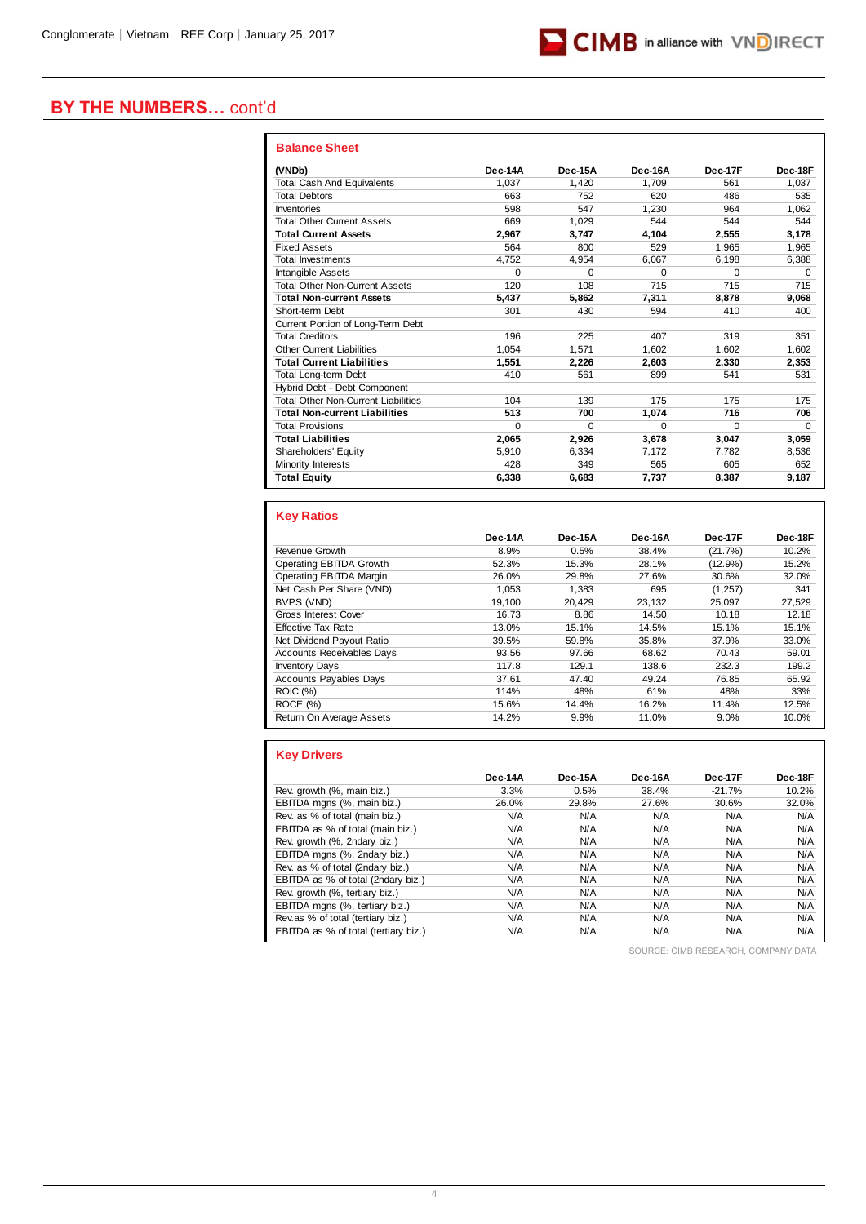

## **BY THE NUMBERS…** cont'd

| <b>Balance Sheet</b>                       |          |          |          |          |          |
|--------------------------------------------|----------|----------|----------|----------|----------|
| (VNDb)                                     | Dec-14A  | Dec-15A  | Dec-16A  | Dec-17F  | Dec-18F  |
| <b>Total Cash And Equivalents</b>          | 1,037    | 1,420    | 1.709    | 561      | 1.037    |
| <b>Total Debtors</b>                       | 663      | 752      | 620      | 486      | 535      |
| Inventories                                | 598      | 547      | 1.230    | 964      | 1.062    |
| <b>Total Other Current Assets</b>          | 669      | 1.029    | 544      | 544      | 544      |
| <b>Total Current Assets</b>                | 2.967    | 3.747    | 4.104    | 2.555    | 3,178    |
| <b>Fixed Assets</b>                        | 564      | 800      | 529      | 1.965    | 1.965    |
| <b>Total Investments</b>                   | 4.752    | 4.954    | 6.067    | 6,198    | 6,388    |
| <b>Intangible Assets</b>                   | 0        | $\Omega$ | $\Omega$ | $\Omega$ | $\Omega$ |
| <b>Total Other Non-Current Assets</b>      | 120      | 108      | 715      | 715      | 715      |
| <b>Total Non-current Assets</b>            | 5.437    | 5.862    | 7,311    | 8.878    | 9,068    |
| Short-term Debt                            | 301      | 430      | 594      | 410      | 400      |
| Current Portion of Long-Term Debt          |          |          |          |          |          |
| <b>Total Creditors</b>                     | 196      | 225      | 407      | 319      | 351      |
| <b>Other Current Liabilities</b>           | 1.054    | 1.571    | 1.602    | 1.602    | 1.602    |
| <b>Total Current Liabilities</b>           | 1,551    | 2,226    | 2,603    | 2,330    | 2,353    |
| <b>Total Long-term Debt</b>                | 410      | 561      | 899      | 541      | 531      |
| Hybrid Debt - Debt Component               |          |          |          |          |          |
| <b>Total Other Non-Current Liabilities</b> | 104      | 139      | 175      | 175      | 175      |
| <b>Total Non-current Liabilities</b>       | 513      | 700      | 1.074    | 716      | 706      |
| <b>Total Provisions</b>                    | $\Omega$ | $\Omega$ | $\Omega$ | $\Omega$ | $\Omega$ |
| <b>Total Liabilities</b>                   | 2.065    | 2.926    | 3.678    | 3.047    | 3.059    |
| Shareholders' Equity                       | 5.910    | 6,334    | 7,172    | 7,782    | 8,536    |
| Minority Interests                         | 428      | 349      | 565      | 605      | 652      |
| <b>Total Equity</b>                        | 6,338    | 6,683    | 7,737    | 8,387    | 9,187    |

## **Key Ratios**

|                                  | Dec-14A | Dec-15A | Dec-16A | Dec-17F    | Dec-18F |
|----------------------------------|---------|---------|---------|------------|---------|
| Revenue Growth                   | 8.9%    | 0.5%    | 38.4%   | (21.7%)    | 10.2%   |
| Operating EBITDA Growth          | 52.3%   | 15.3%   | 28.1%   | $(12.9\%)$ | 15.2%   |
| Operating EBITDA Margin          | 26.0%   | 29.8%   | 27.6%   | 30.6%      | 32.0%   |
| Net Cash Per Share (VND)         | 1.053   | 1.383   | 695     | (1, 257)   | 341     |
| BVPS (VND)                       | 19.100  | 20.429  | 23,132  | 25,097     | 27,529  |
| <b>Gross Interest Cover</b>      | 16.73   | 8.86    | 14.50   | 10.18      | 12.18   |
| <b>Effective Tax Rate</b>        | 13.0%   | 15.1%   | 14.5%   | 15.1%      | 15.1%   |
| Net Dividend Payout Ratio        | 39.5%   | 59.8%   | 35.8%   | 37.9%      | 33.0%   |
| <b>Accounts Receivables Days</b> | 93.56   | 97.66   | 68.62   | 70.43      | 59.01   |
| <b>Inventory Days</b>            | 117.8   | 129.1   | 138.6   | 232.3      | 199.2   |
| <b>Accounts Payables Days</b>    | 37.61   | 47.40   | 49.24   | 76.85      | 65.92   |
| <b>ROIC</b> (%)                  | 114%    | 48%     | 61%     | 48%        | 33%     |
| ROCE (%)                         | 15.6%   | 14.4%   | 16.2%   | 11.4%      | 12.5%   |
| Return On Average Assets         | 14.2%   | 9.9%    | 11.0%   | 9.0%       | 10.0%   |

## **Key Drivers**

|                                      | Dec-14A | Dec-15A | Dec-16A | Dec-17F  | Dec-18F |
|--------------------------------------|---------|---------|---------|----------|---------|
| Rev. growth (%, main biz.)           | 3.3%    | 0.5%    | 38.4%   | $-21.7%$ | 10.2%   |
| EBITDA mgns (%, main biz.)           | 26.0%   | 29.8%   | 27.6%   | 30.6%    | 32.0%   |
| Rev. as % of total (main biz.)       | N/A     | N/A     | N/A     | N/A      | N/A     |
| EBITDA as % of total (main biz.)     | N/A     | N/A     | N/A     | N/A      | N/A     |
| Rev. growth (%, 2ndary biz.)         | N/A     | N/A     | N/A     | N/A      | N/A     |
| EBITDA mgns (%, 2ndary biz.)         | N/A     | N/A     | N/A     | N/A      | N/A     |
| Rev. as % of total (2ndary biz.)     | N/A     | N/A     | N/A     | N/A      | N/A     |
| EBITDA as % of total (2ndary biz.)   | N/A     | N/A     | N/A     | N/A      | N/A     |
| Rev. growth (%, tertiary biz.)       | N/A     | N/A     | N/A     | N/A      | N/A     |
| EBITDA mgns (%, tertiary biz.)       | N/A     | N/A     | N/A     | N/A      | N/A     |
| Rev.as % of total (tertiary biz.)    | N/A     | N/A     | N/A     | N/A      | N/A     |
| EBITDA as % of total (tertiary biz.) | N/A     | N/A     | N/A     | N/A      | N/A     |

SOURCE: CIMB RESEARCH, COMPANY DATA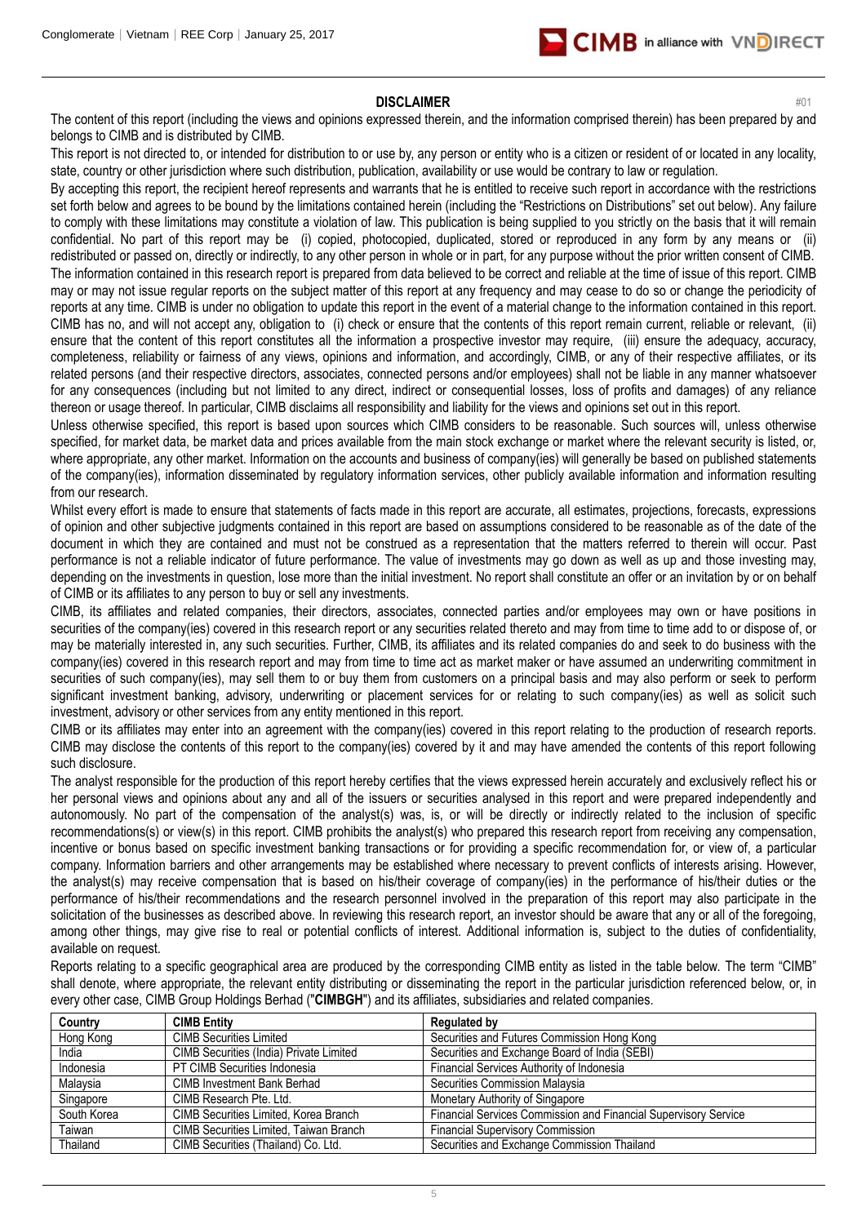

#### **DISCLAIMER** #01

The content of this report (including the views and opinions expressed therein, and the information comprised therein) has been prepared by and belongs to CIMB and is distributed by CIMB.

This report is not directed to, or intended for distribution to or use by, any person or entity who is a citizen or resident of or located in any locality, state, country or other jurisdiction where such distribution, publication, availability or use would be contrary to law or regulation.

By accepting this report, the recipient hereof represents and warrants that he is entitled to receive such report in accordance with the restrictions set forth below and agrees to be bound by the limitations contained herein (including the "Restrictions on Distributions" set out below). Any failure to comply with these limitations may constitute a violation of law. This publication is being supplied to you strictly on the basis that it will remain confidential. No part of this report may be (i) copied, photocopied, duplicated, stored or reproduced in any form by any means or (ii) redistributed or passed on, directly or indirectly, to any other person in whole or in part, for any purpose without the prior written consent of CIMB. The information contained in this research report is prepared from data believed to be correct and reliable at the time of issue of this report. CIMB may or may not issue regular reports on the subject matter of this report at any frequency and may cease to do so or change the periodicity of reports at any time. CIMB is under no obligation to update this report in the event of a material change to the information contained in this report. CIMB has no, and will not accept any, obligation to (i) check or ensure that the contents of this report remain current, reliable or relevant, (ii) ensure that the content of this report constitutes all the information a prospective investor may require, (iii) ensure the adequacy, accuracy, completeness, reliability or fairness of any views, opinions and information, and accordingly, CIMB, or any of their respective affiliates, or its related persons (and their respective directors, associates, connected persons and/or employees) shall not be liable in any manner whatsoever for any consequences (including but not limited to any direct, indirect or consequential losses, loss of profits and damages) of any reliance thereon or usage thereof. In particular, CIMB disclaims all responsibility and liability for the views and opinions set out in this report.

Unless otherwise specified, this report is based upon sources which CIMB considers to be reasonable. Such sources will, unless otherwise specified, for market data, be market data and prices available from the main stock exchange or market where the relevant security is listed, or, where appropriate, any other market. Information on the accounts and business of company(ies) will generally be based on published statements of the company(ies), information disseminated by regulatory information services, other publicly available information and information resulting from our research.

Whilst every effort is made to ensure that statements of facts made in this report are accurate, all estimates, projections, forecasts, expressions of opinion and other subjective judgments contained in this report are based on assumptions considered to be reasonable as of the date of the document in which they are contained and must not be construed as a representation that the matters referred to therein will occur. Past performance is not a reliable indicator of future performance. The value of investments may go down as well as up and those investing may, depending on the investments in question, lose more than the initial investment. No report shall constitute an offer or an invitation by or on behalf of CIMB or its affiliates to any person to buy or sell any investments.

CIMB, its affiliates and related companies, their directors, associates, connected parties and/or employees may own or have positions in securities of the company(ies) covered in this research report or any securities related thereto and may from time to time add to or dispose of, or may be materially interested in, any such securities. Further, CIMB, its affiliates and its related companies do and seek to do business with the company(ies) covered in this research report and may from time to time act as market maker or have assumed an underwriting commitment in securities of such company(ies), may sell them to or buy them from customers on a principal basis and may also perform or seek to perform significant investment banking, advisory, underwriting or placement services for or relating to such company(ies) as well as solicit such investment, advisory or other services from any entity mentioned in this report.

CIMB or its affiliates may enter into an agreement with the company(ies) covered in this report relating to the production of research reports. CIMB may disclose the contents of this report to the company(ies) covered by it and may have amended the contents of this report following such disclosure.

The analyst responsible for the production of this report hereby certifies that the views expressed herein accurately and exclusively reflect his or her personal views and opinions about any and all of the issuers or securities analysed in this report and were prepared independently and autonomously. No part of the compensation of the analyst(s) was, is, or will be directly or indirectly related to the inclusion of specific recommendations(s) or view(s) in this report. CIMB prohibits the analyst(s) who prepared this research report from receiving any compensation, incentive or bonus based on specific investment banking transactions or for providing a specific recommendation for, or view of, a particular company. Information barriers and other arrangements may be established where necessary to prevent conflicts of interests arising. However, the analyst(s) may receive compensation that is based on his/their coverage of company(ies) in the performance of his/their duties or the performance of his/their recommendations and the research personnel involved in the preparation of this report may also participate in the solicitation of the businesses as described above. In reviewing this research report, an investor should be aware that any or all of the foregoing, among other things, may give rise to real or potential conflicts of interest. Additional information is, subject to the duties of confidentiality, available on request.

Reports relating to a specific geographical area are produced by the corresponding CIMB entity as listed in the table below. The term "CIMB" shall denote, where appropriate, the relevant entity distributing or disseminating the report in the particular jurisdiction referenced below, or, in every other case, CIMB Group Holdings Berhad ("**CIMBGH**") and its affiliates, subsidiaries and related companies.

| Country     | <b>CIMB Entity</b>                      | <b>Regulated by</b>                                             |
|-------------|-----------------------------------------|-----------------------------------------------------------------|
| Hong Kong   | <b>CIMB Securities Limited</b>          | Securities and Futures Commission Hong Kong                     |
| India       | CIMB Securities (India) Private Limited | Securities and Exchange Board of India (SEBI)                   |
| Indonesia   | PT CIMB Securities Indonesia            | Financial Services Authority of Indonesia                       |
| Malaysia    | <b>CIMB Investment Bank Berhad</b>      | Securities Commission Malaysia                                  |
| Singapore   | CIMB Research Pte. Ltd.                 | Monetary Authority of Singapore                                 |
| South Korea | CIMB Securities Limited, Korea Branch   | Financial Services Commission and Financial Supervisory Service |
| Taiwan      | CIMB Securities Limited, Taiwan Branch  | <b>Financial Supervisory Commission</b>                         |
| Thailand    | CIMB Securities (Thailand) Co. Ltd.     | Securities and Exchange Commission Thailand                     |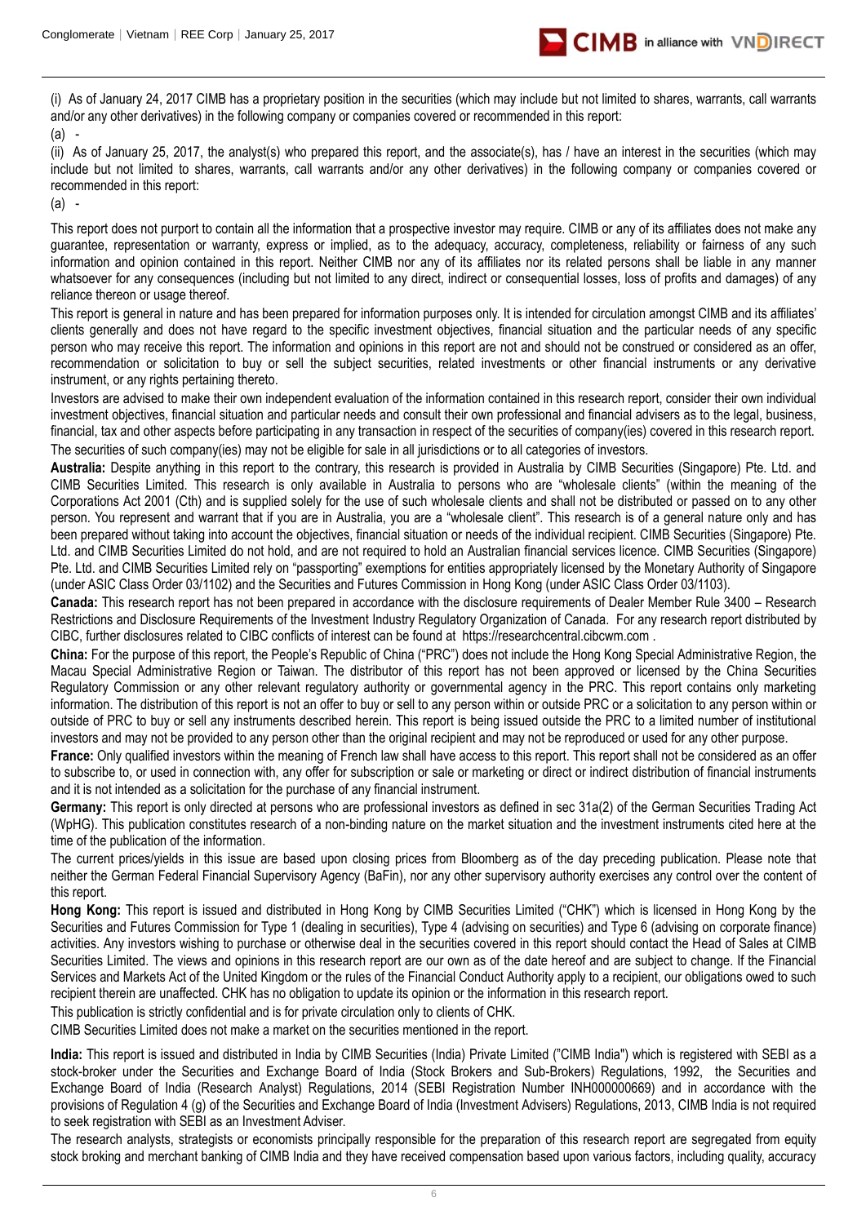

(i) As of January 24, 2017 CIMB has a proprietary position in the securities (which may include but not limited to shares, warrants, call warrants and/or any other derivatives) in the following company or companies covered or recommended in this report:

(a) -

(ii) As of January 25, 2017, the analyst(s) who prepared this report, and the associate(s), has / have an interest in the securities (which may include but not limited to shares, warrants, call warrants and/or any other derivatives) in the following company or companies covered or recommended in this report:

(a) -

This report does not purport to contain all the information that a prospective investor may require. CIMB or any of its affiliates does not make any guarantee, representation or warranty, express or implied, as to the adequacy, accuracy, completeness, reliability or fairness of any such information and opinion contained in this report. Neither CIMB nor any of its affiliates nor its related persons shall be liable in any manner whatsoever for any consequences (including but not limited to any direct, indirect or consequential losses, loss of profits and damages) of any reliance thereon or usage thereof.

This report is general in nature and has been prepared for information purposes only. It is intended for circulation amongst CIMB and its affiliates' clients generally and does not have regard to the specific investment objectives, financial situation and the particular needs of any specific person who may receive this report. The information and opinions in this report are not and should not be construed or considered as an offer, recommendation or solicitation to buy or sell the subject securities, related investments or other financial instruments or any derivative instrument, or any rights pertaining thereto.

Investors are advised to make their own independent evaluation of the information contained in this research report, consider their own individual investment objectives, financial situation and particular needs and consult their own professional and financial advisers as to the legal, business, financial, tax and other aspects before participating in any transaction in respect of the securities of company(ies) covered in this research report. The securities of such company(ies) may not be eligible for sale in all jurisdictions or to all categories of investors.

**Australia:** Despite anything in this report to the contrary, this research is provided in Australia by CIMB Securities (Singapore) Pte. Ltd. and CIMB Securities Limited. This research is only available in Australia to persons who are "wholesale clients" (within the meaning of the Corporations Act 2001 (Cth) and is supplied solely for the use of such wholesale clients and shall not be distributed or passed on to any other person. You represent and warrant that if you are in Australia, you are a "wholesale client". This research is of a general nature only and has been prepared without taking into account the objectives, financial situation or needs of the individual recipient. CIMB Securities (Singapore) Pte. Ltd. and CIMB Securities Limited do not hold, and are not required to hold an Australian financial services licence. CIMB Securities (Singapore) Pte. Ltd. and CIMB Securities Limited rely on "passporting" exemptions for entities appropriately licensed by the Monetary Authority of Singapore (under ASIC Class Order 03/1102) and the Securities and Futures Commission in Hong Kong (under ASIC Class Order 03/1103).

**Canada:** This research report has not been prepared in accordance with the disclosure requirements of Dealer Member Rule 3400 – Research Restrictions and Disclosure Requirements of the Investment Industry Regulatory Organization of Canada. For any research report distributed by CIBC, further disclosures related to CIBC conflicts of interest can be found at https://researchcentral.cibcwm.com .

**China:** For the purpose of this report, the People's Republic of China ("PRC") does not include the Hong Kong Special Administrative Region, the Macau Special Administrative Region or Taiwan. The distributor of this report has not been approved or licensed by the China Securities Regulatory Commission or any other relevant regulatory authority or governmental agency in the PRC. This report contains only marketing information. The distribution of this report is not an offer to buy or sell to any person within or outside PRC or a solicitation to any person within or outside of PRC to buy or sell any instruments described herein. This report is being issued outside the PRC to a limited number of institutional investors and may not be provided to any person other than the original recipient and may not be reproduced or used for any other purpose.

France: Only qualified investors within the meaning of French law shall have access to this report. This report shall not be considered as an offer to subscribe to, or used in connection with, any offer for subscription or sale or marketing or direct or indirect distribution of financial instruments and it is not intended as a solicitation for the purchase of any financial instrument.

**Germany:** This report is only directed at persons who are professional investors as defined in sec 31a(2) of the German Securities Trading Act (WpHG). This publication constitutes research of a non-binding nature on the market situation and the investment instruments cited here at the time of the publication of the information.

The current prices/yields in this issue are based upon closing prices from Bloomberg as of the day preceding publication. Please note that neither the German Federal Financial Supervisory Agency (BaFin), nor any other supervisory authority exercises any control over the content of this report.

**Hong Kong:** This report is issued and distributed in Hong Kong by CIMB Securities Limited ("CHK") which is licensed in Hong Kong by the Securities and Futures Commission for Type 1 (dealing in securities), Type 4 (advising on securities) and Type 6 (advising on corporate finance) activities. Any investors wishing to purchase or otherwise deal in the securities covered in this report should contact the Head of Sales at CIMB Securities Limited. The views and opinions in this research report are our own as of the date hereof and are subject to change. If the Financial Services and Markets Act of the United Kingdom or the rules of the Financial Conduct Authority apply to a recipient, our obligations owed to such recipient therein are unaffected. CHK has no obligation to update its opinion or the information in this research report.

This publication is strictly confidential and is for private circulation only to clients of CHK.

CIMB Securities Limited does not make a market on the securities mentioned in the report.

**India:** This report is issued and distributed in India by CIMB Securities (India) Private Limited ("CIMB India") which is registered with SEBI as a stock-broker under the Securities and Exchange Board of India (Stock Brokers and Sub-Brokers) Regulations, 1992, the Securities and Exchange Board of India (Research Analyst) Regulations, 2014 (SEBI Registration Number INH000000669) and in accordance with the provisions of Regulation 4 (g) of the Securities and Exchange Board of India (Investment Advisers) Regulations, 2013, CIMB India is not required to seek registration with SEBI as an Investment Adviser.

The research analysts, strategists or economists principally responsible for the preparation of this research report are segregated from equity stock broking and merchant banking of CIMB India and they have received compensation based upon various factors, including quality, accuracy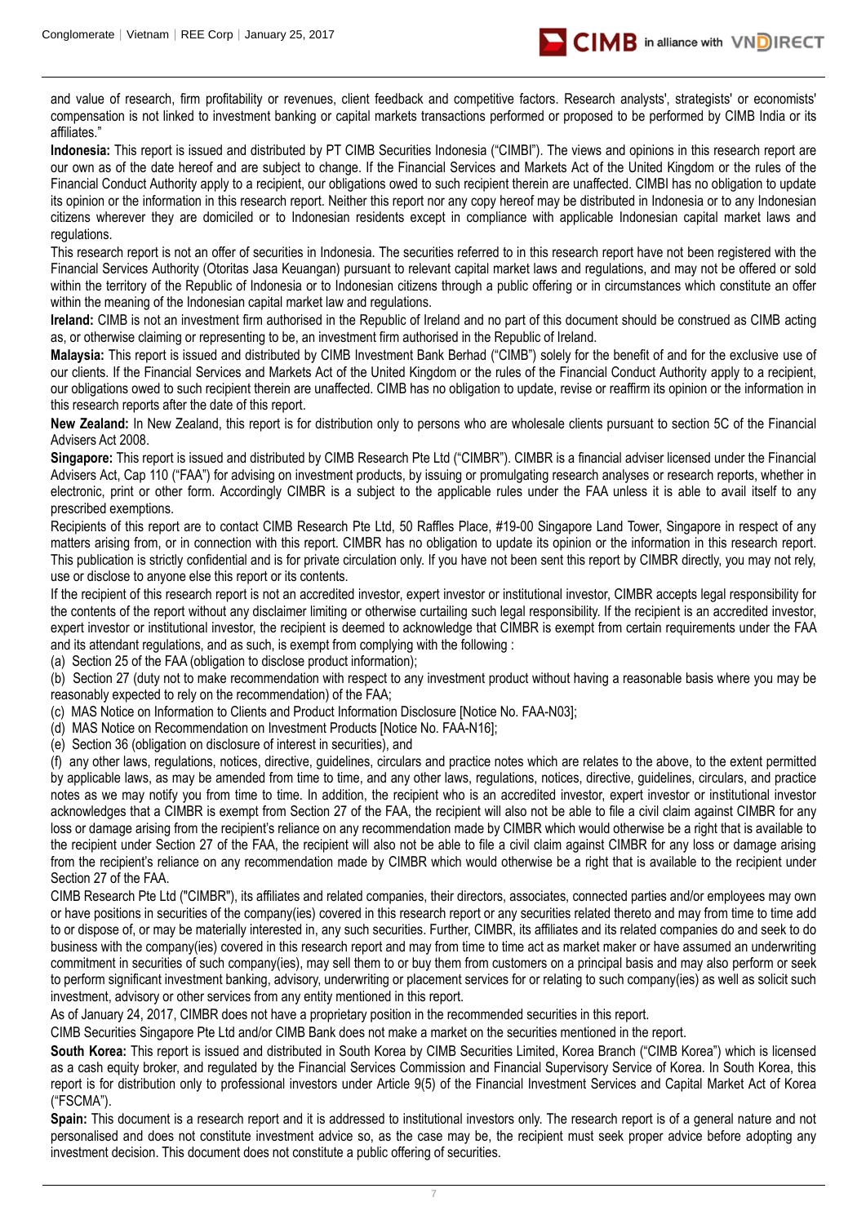

and value of research, firm profitability or revenues, client feedback and competitive factors. Research analysts', strategists' or economists' compensation is not linked to investment banking or capital markets transactions performed or proposed to be performed by CIMB India or its affiliates."

**Indonesia:** This report is issued and distributed by PT CIMB Securities Indonesia ("CIMBI"). The views and opinions in this research report are our own as of the date hereof and are subject to change. If the Financial Services and Markets Act of the United Kingdom or the rules of the Financial Conduct Authority apply to a recipient, our obligations owed to such recipient therein are unaffected. CIMBI has no obligation to update its opinion or the information in this research report. Neither this report nor any copy hereof may be distributed in Indonesia or to any Indonesian citizens wherever they are domiciled or to Indonesian residents except in compliance with applicable Indonesian capital market laws and regulations.

This research report is not an offer of securities in Indonesia. The securities referred to in this research report have not been registered with the Financial Services Authority (Otoritas Jasa Keuangan) pursuant to relevant capital market laws and regulations, and may not be offered or sold within the territory of the Republic of Indonesia or to Indonesian citizens through a public offering or in circumstances which constitute an offer within the meaning of the Indonesian capital market law and regulations.

**Ireland:** CIMB is not an investment firm authorised in the Republic of Ireland and no part of this document should be construed as CIMB acting as, or otherwise claiming or representing to be, an investment firm authorised in the Republic of Ireland.

**Malaysia:** This report is issued and distributed by CIMB Investment Bank Berhad ("CIMB") solely for the benefit of and for the exclusive use of our clients. If the Financial Services and Markets Act of the United Kingdom or the rules of the Financial Conduct Authority apply to a recipient, our obligations owed to such recipient therein are unaffected. CIMB has no obligation to update, revise or reaffirm its opinion or the information in this research reports after the date of this report.

**New Zealand:** In New Zealand, this report is for distribution only to persons who are wholesale clients pursuant to section 5C of the Financial Advisers Act 2008.

**Singapore:** This report is issued and distributed by CIMB Research Pte Ltd ("CIMBR"). CIMBR is a financial adviser licensed under the Financial Advisers Act, Cap 110 ("FAA") for advising on investment products, by issuing or promulgating research analyses or research reports, whether in electronic, print or other form. Accordingly CIMBR is a subject to the applicable rules under the FAA unless it is able to avail itself to any prescribed exemptions.

Recipients of this report are to contact CIMB Research Pte Ltd, 50 Raffles Place, #19-00 Singapore Land Tower, Singapore in respect of any matters arising from, or in connection with this report. CIMBR has no obligation to update its opinion or the information in this research report. This publication is strictly confidential and is for private circulation only. If you have not been sent this report by CIMBR directly, you may not rely, use or disclose to anyone else this report or its contents.

If the recipient of this research report is not an accredited investor, expert investor or institutional investor, CIMBR accepts legal responsibility for the contents of the report without any disclaimer limiting or otherwise curtailing such legal responsibility. If the recipient is an accredited investor, expert investor or institutional investor, the recipient is deemed to acknowledge that CIMBR is exempt from certain requirements under the FAA and its attendant regulations, and as such, is exempt from complying with the following :

(a) Section 25 of the FAA (obligation to disclose product information);

(b) Section 27 (duty not to make recommendation with respect to any investment product without having a reasonable basis where you may be reasonably expected to rely on the recommendation) of the FAA;

(c) MAS Notice on Information to Clients and Product Information Disclosure [Notice No. FAA-N03];

(d) MAS Notice on Recommendation on Investment Products [Notice No. FAA-N16];

(e) Section 36 (obligation on disclosure of interest in securities), and

(f) any other laws, regulations, notices, directive, guidelines, circulars and practice notes which are relates to the above, to the extent permitted by applicable laws, as may be amended from time to time, and any other laws, regulations, notices, directive, guidelines, circulars, and practice notes as we may notify you from time to time. In addition, the recipient who is an accredited investor, expert investor or institutional investor acknowledges that a CIMBR is exempt from Section 27 of the FAA, the recipient will also not be able to file a civil claim against CIMBR for any loss or damage arising from the recipient's reliance on any recommendation made by CIMBR which would otherwise be a right that is available to the recipient under Section 27 of the FAA, the recipient will also not be able to file a civil claim against CIMBR for any loss or damage arising from the recipient's reliance on any recommendation made by CIMBR which would otherwise be a right that is available to the recipient under Section 27 of the FAA.

CIMB Research Pte Ltd ("CIMBR"), its affiliates and related companies, their directors, associates, connected parties and/or employees may own or have positions in securities of the company(ies) covered in this research report or any securities related thereto and may from time to time add to or dispose of, or may be materially interested in, any such securities. Further, CIMBR, its affiliates and its related companies do and seek to do business with the company(ies) covered in this research report and may from time to time act as market maker or have assumed an underwriting commitment in securities of such company(ies), may sell them to or buy them from customers on a principal basis and may also perform or seek to perform significant investment banking, advisory, underwriting or placement services for or relating to such company(ies) as well as solicit such investment, advisory or other services from any entity mentioned in this report.

As of January 24, 2017, CIMBR does not have a proprietary position in the recommended securities in this report.

CIMB Securities Singapore Pte Ltd and/or CIMB Bank does not make a market on the securities mentioned in the report.

**South Korea:** This report is issued and distributed in South Korea by CIMB Securities Limited, Korea Branch ("CIMB Korea") which is licensed as a cash equity broker, and regulated by the Financial Services Commission and Financial Supervisory Service of Korea. In South Korea, this report is for distribution only to professional investors under Article 9(5) of the Financial Investment Services and Capital Market Act of Korea ("FSCMA").

**Spain:** This document is a research report and it is addressed to institutional investors only. The research report is of a general nature and not personalised and does not constitute investment advice so, as the case may be, the recipient must seek proper advice before adopting any investment decision. This document does not constitute a public offering of securities.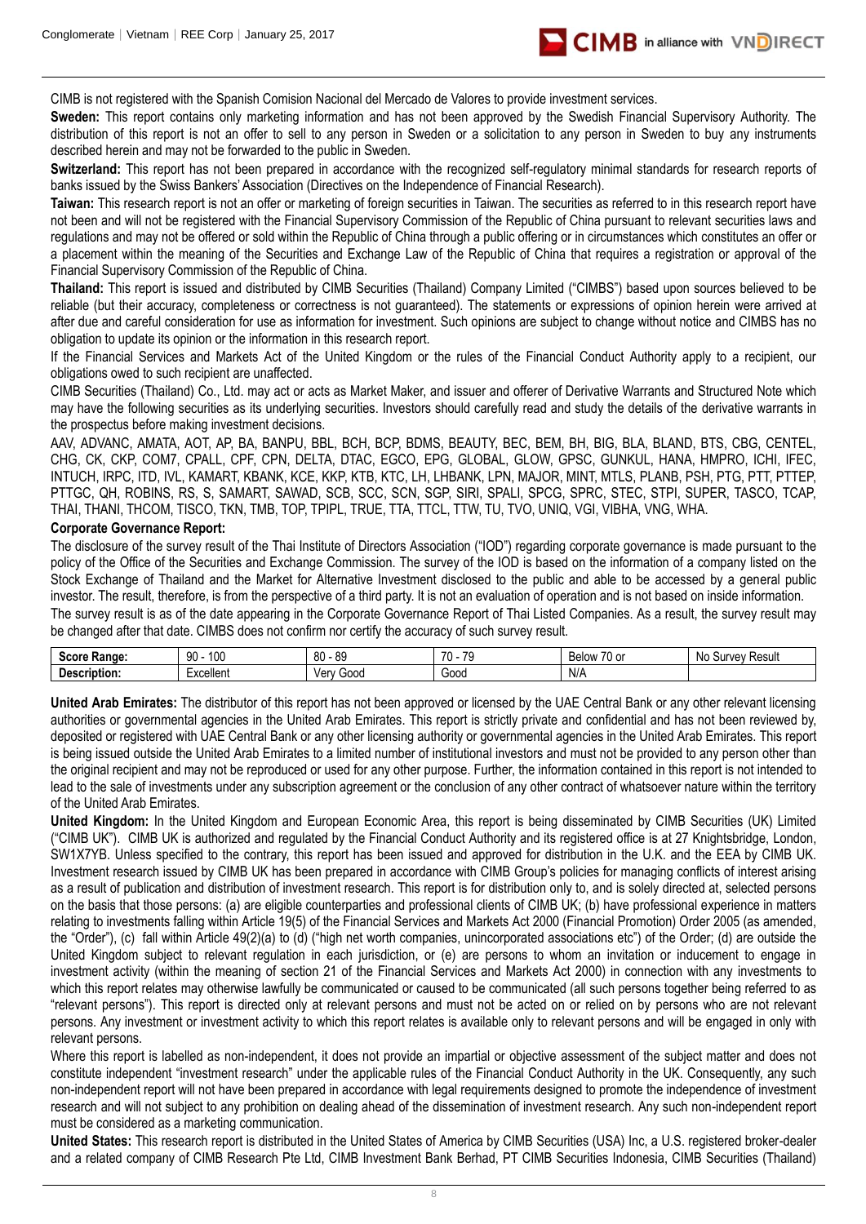

CIMB is not registered with the Spanish Comision Nacional del Mercado de Valores to provide investment services.

**Sweden:** This report contains only marketing information and has not been approved by the Swedish Financial Supervisory Authority. The distribution of this report is not an offer to sell to any person in Sweden or a solicitation to any person in Sweden to buy any instruments described herein and may not be forwarded to the public in Sweden.

Switzerland: This report has not been prepared in accordance with the recognized self-regulatory minimal standards for research reports of banks issued by the Swiss Bankers' Association (Directives on the Independence of Financial Research).

Taiwan: This research report is not an offer or marketing of foreign securities in Taiwan. The securities as referred to in this research report have not been and will not be registered with the Financial Supervisory Commission of the Republic of China pursuant to relevant securities laws and regulations and may not be offered or sold within the Republic of China through a public offering or in circumstances which constitutes an offer or a placement within the meaning of the Securities and Exchange Law of the Republic of China that requires a registration or approval of the Financial Supervisory Commission of the Republic of China.

**Thailand:** This report is issued and distributed by CIMB Securities (Thailand) Company Limited ("CIMBS") based upon sources believed to be reliable (but their accuracy, completeness or correctness is not guaranteed). The statements or expressions of opinion herein were arrived at after due and careful consideration for use as information for investment. Such opinions are subject to change without notice and CIMBS has no obligation to update its opinion or the information in this research report.

If the Financial Services and Markets Act of the United Kingdom or the rules of the Financial Conduct Authority apply to a recipient, our obligations owed to such recipient are unaffected.

CIMB Securities (Thailand) Co., Ltd. may act or acts as Market Maker, and issuer and offerer of Derivative Warrants and Structured Note which may have the following securities as its underlying securities. Investors should carefully read and study the details of the derivative warrants in the prospectus before making investment decisions.

AAV, ADVANC, AMATA, AOT, AP, BA, BANPU, BBL, BCH, BCP, BDMS, BEAUTY, BEC, BEM, BH, BIG, BLA, BLAND, BTS, CBG, CENTEL, CHG, CK, CKP, COM7, CPALL, CPF, CPN, DELTA, DTAC, EGCO, EPG, GLOBAL, GLOW, GPSC, GUNKUL, HANA, HMPRO, ICHI, IFEC, INTUCH, IRPC, ITD, IVL, KAMART, KBANK, KCE, KKP, KTB, KTC, LH, LHBANK, LPN, MAJOR, MINT, MTLS, PLANB, PSH, PTG, PTT, PTTEP, PTTGC, QH, ROBINS, RS, S, SAMART, SAWAD, SCB, SCC, SCN, SGP, SIRI, SPALI, SPCG, SPRC, STEC, STPI, SUPER, TASCO, TCAP, THAI, THANI, THCOM, TISCO, TKN, TMB, TOP, TPIPL, TRUE, TTA, TTCL, TTW, TU, TVO, UNIQ, VGI, VIBHA, VNG, WHA.

## **Corporate Governance Report:**

The disclosure of the survey result of the Thai Institute of Directors Association ("IOD") regarding corporate governance is made pursuant to the policy of the Office of the Securities and Exchange Commission. The survey of the IOD is based on the information of a company listed on the Stock Exchange of Thailand and the Market for Alternative Investment disclosed to the public and able to be accessed by a general public investor. The result, therefore, is from the perspective of a third party. It is not an evaluation of operation and is not based on inside information.

The survey result is as of the date appearing in the Corporate Governance Report of Thai Listed Companies. As a result, the survey result may be changed after that date. CIMBS does not confirm nor certify the accuracy of such survey result.

| $P_{max}$<br><b>Range:</b> | 100<br>۵ſ<br>JU. | R∩<br>or<br>$\sim$<br>. .<br>υv<br>ັບເ | 70<br>$\rightarrow$<br>. | ח י<br>יו הי<br>יטוסכ<br>ו טעו | ΝЬ.<br>∀esult<br>11111<br>IVU<br>VG. |
|----------------------------|------------------|----------------------------------------|--------------------------|--------------------------------|--------------------------------------|
| 'Jes<br>------<br>rıptıon: | :xcellent        | Gooc<br>Ner∴<br>יש                     | Good                     | N/A                            |                                      |

**United Arab Emirates:** The distributor of this report has not been approved or licensed by the UAE Central Bank or any other relevant licensing authorities or governmental agencies in the United Arab Emirates. This report is strictly private and confidential and has not been reviewed by, deposited or registered with UAE Central Bank or any other licensing authority or governmental agencies in the United Arab Emirates. This report is being issued outside the United Arab Emirates to a limited number of institutional investors and must not be provided to any person other than the original recipient and may not be reproduced or used for any other purpose. Further, the information contained in this report is not intended to lead to the sale of investments under any subscription agreement or the conclusion of any other contract of whatsoever nature within the territory of the United Arab Emirates.

**United Kingdom:** In the United Kingdom and European Economic Area, this report is being disseminated by CIMB Securities (UK) Limited ("CIMB UK"). CIMB UK is authorized and regulated by the Financial Conduct Authority and its registered office is at 27 Knightsbridge, London, SW1X7YB. Unless specified to the contrary, this report has been issued and approved for distribution in the U.K. and the EEA by CIMB UK. Investment research issued by CIMB UK has been prepared in accordance with CIMB Group's policies for managing conflicts of interest arising as a result of publication and distribution of investment research. This report is for distribution only to, and is solely directed at, selected persons on the basis that those persons: (a) are eligible counterparties and professional clients of CIMB UK; (b) have professional experience in matters relating to investments falling within Article 19(5) of the Financial Services and Markets Act 2000 (Financial Promotion) Order 2005 (as amended, the "Order"), (c) fall within Article 49(2)(a) to (d) ("high net worth companies, unincorporated associations etc") of the Order; (d) are outside the United Kingdom subject to relevant regulation in each jurisdiction, or (e) are persons to whom an invitation or inducement to engage in investment activity (within the meaning of section 21 of the Financial Services and Markets Act 2000) in connection with any investments to which this report relates may otherwise lawfully be communicated or caused to be communicated (all such persons together being referred to as "relevant persons"). This report is directed only at relevant persons and must not be acted on or relied on by persons who are not relevant persons. Any investment or investment activity to which this report relates is available only to relevant persons and will be engaged in only with relevant persons.

Where this report is labelled as non-independent, it does not provide an impartial or objective assessment of the subject matter and does not constitute independent "investment research" under the applicable rules of the Financial Conduct Authority in the UK. Consequently, any such non-independent report will not have been prepared in accordance with legal requirements designed to promote the independence of investment research and will not subject to any prohibition on dealing ahead of the dissemination of investment research. Any such non-independent report must be considered as a marketing communication.

**United States:** This research report is distributed in the United States of America by CIMB Securities (USA) Inc, a U.S. registered broker-dealer and a related company of CIMB Research Pte Ltd, CIMB Investment Bank Berhad, PT CIMB Securities Indonesia, CIMB Securities (Thailand)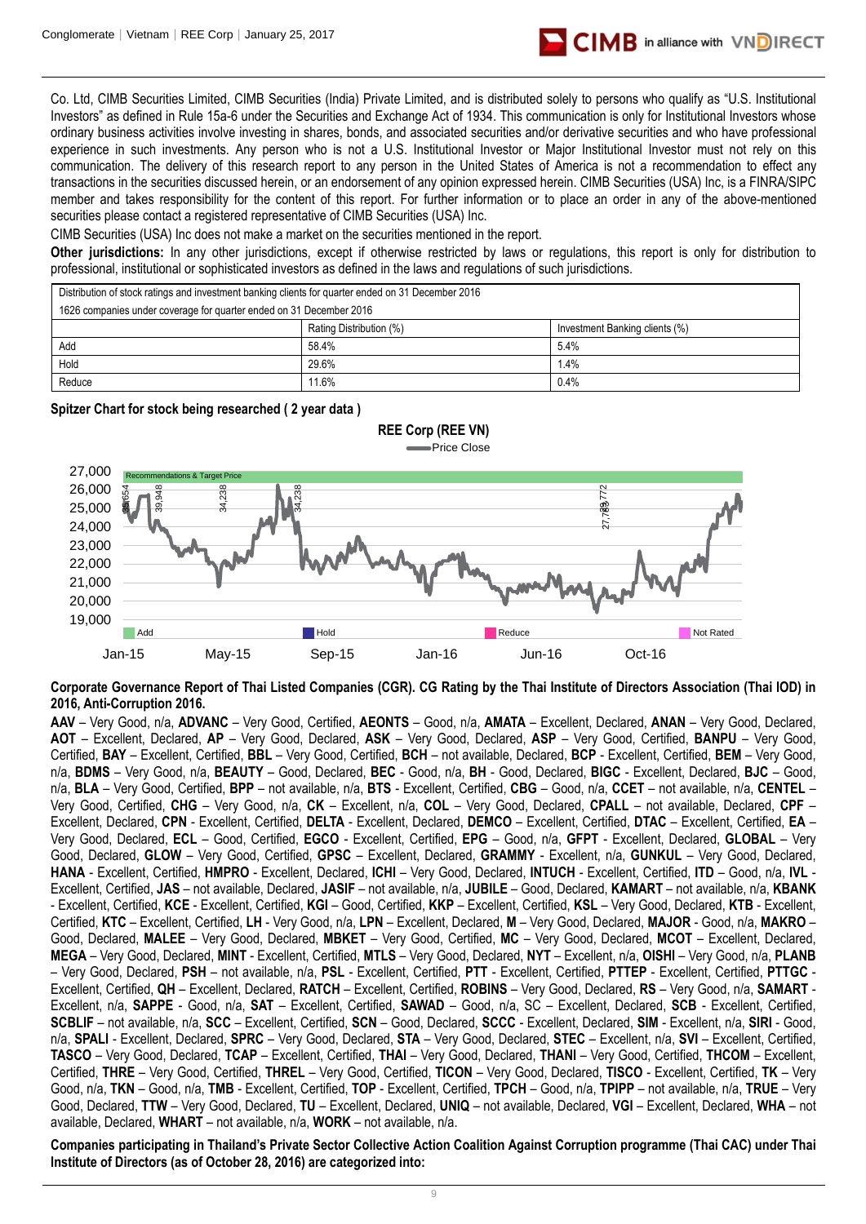

Co. Ltd, CIMB Securities Limited, CIMB Securities (India) Private Limited, and is distributed solely to persons who qualify as "U.S. Institutional Investors" as defined in Rule 15a-6 under the Securities and Exchange Act of 1934. This communication is only for Institutional Investors whose ordinary business activities involve investing in shares, bonds, and associated securities and/or derivative securities and who have professional experience in such investments. Any person who is not a U.S. Institutional Investor or Major Institutional Investor must not rely on this communication. The delivery of this research report to any person in the United States of America is not a recommendation to effect any transactions in the securities discussed herein, or an endorsement of any opinion expressed herein. CIMB Securities (USA) Inc, is a FINRA/SIPC member and takes responsibility for the content of this report. For further information or to place an order in any of the above-mentioned securities please contact a registered representative of CIMB Securities (USA) Inc.

CIMB Securities (USA) Inc does not make a market on the securities mentioned in the report.

**Other jurisdictions:** In any other jurisdictions, except if otherwise restricted by laws or regulations, this report is only for distribution to professional, institutional or sophisticated investors as defined in the laws and regulations of such jurisdictions.

Add 58.4% 5.4% Hold 29.6% 1.4% Reduce 10.4% 11.6% and 11.6% 11.6% and 11.6% and 11.6% and 11.6% in the set of  $\sim$  11.6% and 1.6% and 1.6% and 1.6% and 1.6% and 1.6% and 1.6% and 1.6% and 1.6% and 1.6% and 1.6% and 1.6% and 1.6% and 1.6% and 1.6% and 1. Distribution of stock ratings and investment banking clients for quarter ended on 31 December 2016 1626 companies under coverage for quarter ended on 31 December 2016

**Spitzer Chart for stock being researched ( 2 year data )** 



**REE Corp (REE VN)** Price Close

**Corporate Governance Report of Thai Listed Companies (CGR). CG Rating by the Thai Institute of Directors Association (Thai IOD) in 2016, Anti-Corruption 2016.**

**AAV** – Very Good, n/a, **ADVANC** – Very Good, Certified, **AEONTS** – Good, n/a, **AMATA** – Excellent, Declared, **ANAN** – Very Good, Declared, **AOT** – Excellent, Declared, **AP** – Very Good, Declared, **ASK** – Very Good, Declared, **ASP** – Very Good, Certified, **BANPU** – Very Good, Certified, **BAY** – Excellent, Certified, **BBL** – Very Good, Certified, **BCH** – not available, Declared, **BCP** - Excellent, Certified, **BEM** – Very Good, n/a, **BDMS** – Very Good, n/a, **BEAUTY** – Good, Declared, **BEC** - Good, n/a, **BH** - Good, Declared, **BIGC** - Excellent, Declared, **BJC** – Good, n/a, **BLA** – Very Good, Certified, **BPP** – not available, n/a, **BTS** - Excellent, Certified, **CBG** – Good, n/a, **CCET** – not available, n/a, **CENTEL** – Very Good, Certified, **CHG** – Very Good, n/a, **CK** – Excellent, n/a, **COL** – Very Good, Declared, **CPALL** – not available, Declared, **CPF** – Excellent, Declared, **CPN** - Excellent, Certified, **DELTA** - Excellent, Declared, **DEMCO** – Excellent, Certified, **DTAC** – Excellent, Certified, **EA** – Very Good, Declared, **ECL** – Good, Certified, **EGCO** - Excellent, Certified, **EPG** – Good, n/a, **GFPT** - Excellent, Declared, **GLOBAL** – Very Good, Declared, **GLOW** – Very Good, Certified, **GPSC** – Excellent, Declared, **GRAMMY** - Excellent, n/a, **GUNKUL** – Very Good, Declared, **HANA** - Excellent, Certified, **HMPRO** - Excellent, Declared, **ICHI** – Very Good, Declared, **INTUCH** - Excellent, Certified, **ITD** – Good, n/a, **IVL** - Excellent, Certified, **JAS** – not available, Declared, **JASIF** – not available, n/a, **JUBILE** – Good, Declared, **KAMART** – not available, n/a, **KBANK** - Excellent, Certified, **KCE** - Excellent, Certified, **KGI** – Good, Certified, **KKP** – Excellent, Certified, **KSL** – Very Good, Declared, **KTB** - Excellent, Certified, **KTC** – Excellent, Certified, **LH** - Very Good, n/a, **LPN** – Excellent, Declared, **M** – Very Good, Declared, **MAJOR** - Good, n/a, **MAKRO** – Good, Declared, **MALEE** – Very Good, Declared, **MBKET** – Very Good, Certified, **MC** – Very Good, Declared, **MCOT** – Excellent, Declared, **MEGA** – Very Good, Declared, **MINT** - Excellent, Certified, **MTLS** – Very Good, Declared, **NYT** – Excellent, n/a, **OISHI** – Very Good, n/a, **PLANB** – Very Good, Declared, **PSH** – not available, n/a, **PSL** - Excellent, Certified, **PTT** - Excellent, Certified, **PTTEP** - Excellent, Certified, **PTTGC** - Excellent, Certified, **QH** – Excellent, Declared, **RATCH** – Excellent, Certified, **ROBINS** – Very Good, Declared, **RS** – Very Good, n/a, **SAMART** - Excellent, n/a, **SAPPE** - Good, n/a, **SAT** – Excellent, Certified, **SAWAD** – Good, n/a, SC – Excellent, Declared, **SCB** - Excellent, Certified, **SCBLIF** – not available, n/a, **SCC** – Excellent, Certified, **SCN** – Good, Declared, **SCCC** - Excellent, Declared, **SIM** - Excellent, n/a, **SIRI** - Good, n/a, **SPALI** - Excellent, Declared, **SPRC** – Very Good, Declared, **STA** – Very Good, Declared, **STEC** – Excellent, n/a, **SVI** – Excellent, Certified, **TASCO** – Very Good, Declared, **TCAP** – Excellent, Certified, **THAI** – Very Good, Declared, **THANI** – Very Good, Certified, **THCOM** – Excellent, Certified, **THRE** – Very Good, Certified, **THREL** – Very Good, Certified, **TICON** – Very Good, Declared, **TISCO** - Excellent, Certified, **TK** – Very Good, n/a, **TKN** – Good, n/a, **TMB** - Excellent, Certified, **TOP** - Excellent, Certified, **TPCH** – Good, n/a, **TPIPP** – not available, n/a, **TRUE** – Very Good, Declared, **TTW** – Very Good, Declared, **TU** – Excellent, Declared, **UNIQ** – not available, Declared, **VGI** – Excellent, Declared, **WHA** – not available, Declared, **WHART** – not available, n/a, **WORK** – not available, n/a. **INStitute of Directors (as of October 28, 2016)**<br> **Institute of Directors (as of October 28, 2018)**<br> **INSTIGRATION CONTENT CONTENT CONTENT CONTENT CONTENT CONTENT CONTENT CONTENT CONTENT CONTENT CONTENT CONTENT CONTENT C** 

**Companies participating in Thailand's Private Sector Collective Action Coalition Against Corruption programme (Thai CAC) under Thai**